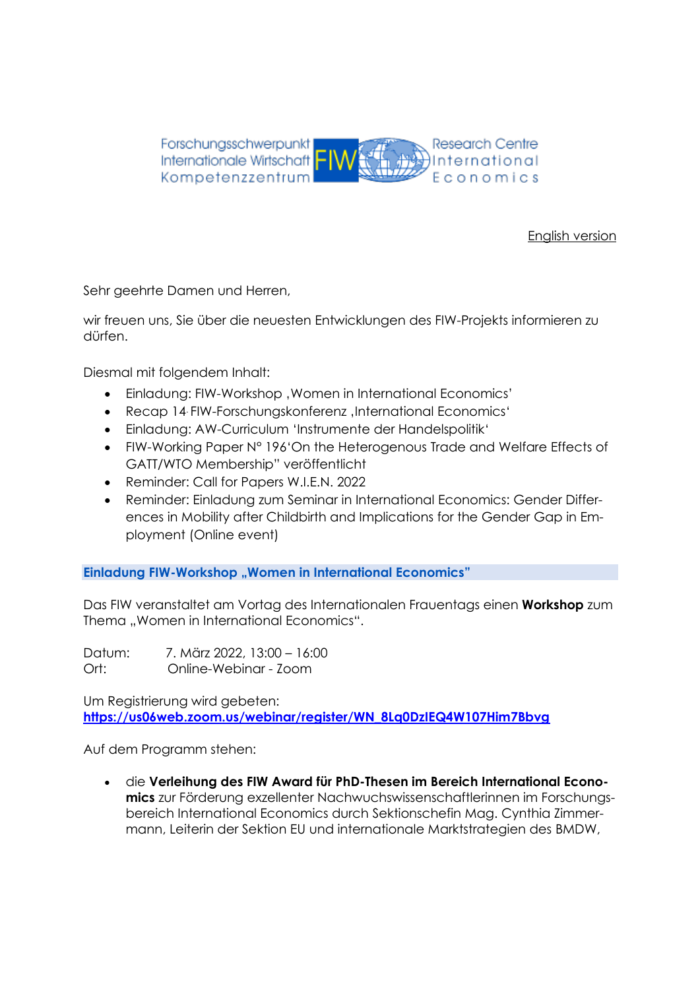

[English version](#page-5-0)

Sehr geehrte Damen und Herren,

wir freuen uns, Sie über die neuesten Entwicklungen des FIW-Projekts informieren zu dürfen.

Diesmal mit folgendem Inhalt:

- Einladung: FIW-Workshop, Women in International Economics'
- Recap 14 FIW-Forschungskonferenz , International Economics'
- Einladung: AW-Curriculum 'Instrumente der Handelspolitik'
- FIW-Working Paper N° 196'On the Heterogenous Trade and Welfare Effects of GATT/WTO Membership" veröffentlicht
- Reminder: Call for Papers W.I.E.N. 2022
- Reminder: Einladung zum Seminar in International Economics: Gender Differences in Mobility after Childbirth and Implications for the Gender Gap in Employment (Online event)

**Einladung FIW-Workshop "Women in International Economics"** 

Das FIW veranstaltet am Vortag des Internationalen Frauentags einen **Workshop** zum Thema "Women in International Economics".

Datum: 7. März 2022, 13:00 – 16:00 Ort: Online-Webinar - Zoom

Um Registrierung wird gebeten: **[https://us06web.zoom.us/webinar/register/WN\\_8Lq0DzIEQ4W107Him7Bbvg](https://us06web.zoom.us/webinar/register/WN_8Lq0DzIEQ4W107Him7Bbvg)**

Auf dem Programm stehen:

• die **Verleihung des FIW Award für PhD-Thesen im Bereich International Economics** zur Förderung exzellenter Nachwuchswissenschaftlerinnen im Forschungsbereich International Economics durch Sektionschefin Mag. Cynthia Zimmermann, Leiterin der Sektion EU und internationale Marktstrategien des BMDW,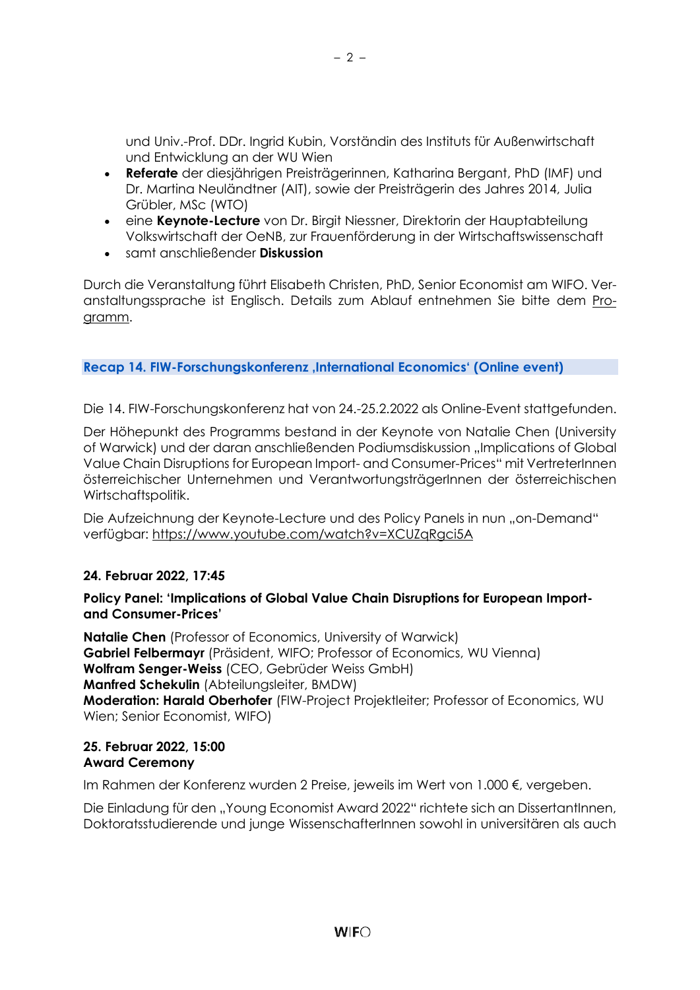und Univ.-Prof. DDr. Ingrid Kubin, Vorständin des Instituts für Außenwirtschaft und Entwicklung an der WU Wien

- **Referate** der diesjährigen Preisträgerinnen, Katharina Bergant, PhD (IMF) und Dr. Martina Neuländtner (AIT), sowie der Preisträgerin des Jahres 2014, Julia Grübler, MSc (WTO)
- eine **Keynote-Lecture** von Dr. Birgit Niessner, Direktorin der Hauptabteilung Volkswirtschaft der OeNB, zur Frauenförderung in der Wirtschaftswissenschaft
- samt anschließender **Diskussion**

Durch die Veranstaltung führt Elisabeth Christen, PhD, Senior Economist am WIFO. Veranstaltungssprache ist Englisch. Details zum Ablauf entnehmen Sie bitte dem [Pro](https://fiw.ac.at/fileadmin/Documents/Veranstaltungen/2022_Workshops/FIW_Workshop_Women_in_International_Economics_prelim_program.pdf)[gramm.](https://fiw.ac.at/fileadmin/Documents/Veranstaltungen/2022_Workshops/FIW_Workshop_Women_in_International_Economics_prelim_program.pdf)

**Recap 14. FIW-Forschungskonferenz 'International Economics' (Online event)** 

Die 14. FIW-Forschungskonferenz hat von 24.-25.2.2022 als Online-Event stattgefunden.

Der Höhepunkt des Programms bestand in der Keynote von Natalie Chen (University of Warwick) und der daran anschließenden Podiumsdiskussion "Implications of Global Value Chain Disruptions for European Import- and Consumer-Prices" mit VertreterInnen österreichischer Unternehmen und VerantwortungsträgerInnen der österreichischen Wirtschaftspolitik.

Die Aufzeichnung der Keynote-Lecture und des Policy Panels in nun "on-Demand" verfügbar:<https://www.youtube.com/watch?v=XCUZqRgci5A>

## **24. Februar 2022, 17:45**

#### **Policy Panel: 'Implications of Global Value Chain Disruptions for European Importand Consumer-Prices'**

**Natalie Chen** (Professor of Economics, University of Warwick) **Gabriel Felbermayr** (Präsident, WIFO; Professor of Economics, WU Vienna) **Wolfram Senger-Weiss** (CEO, Gebrüder Weiss GmbH) **Manfred Schekulin** (Abteilungsleiter, BMDW) **Moderation: Harald Oberhofer** (FIW-Project Projektleiter; Professor of Economics, WU Wien; Senior Economist, WIFO)

#### **25. Februar 2022, 15:00 Award Ceremony**

Im Rahmen der Konferenz wurden 2 Preise, jeweils im Wert von 1.000 €, vergeben.

Die Einladung für den "Young Economist Award 2022" richtete sich an DissertantInnen, Doktoratsstudierende und junge WissenschafterInnen sowohl in universitären als auch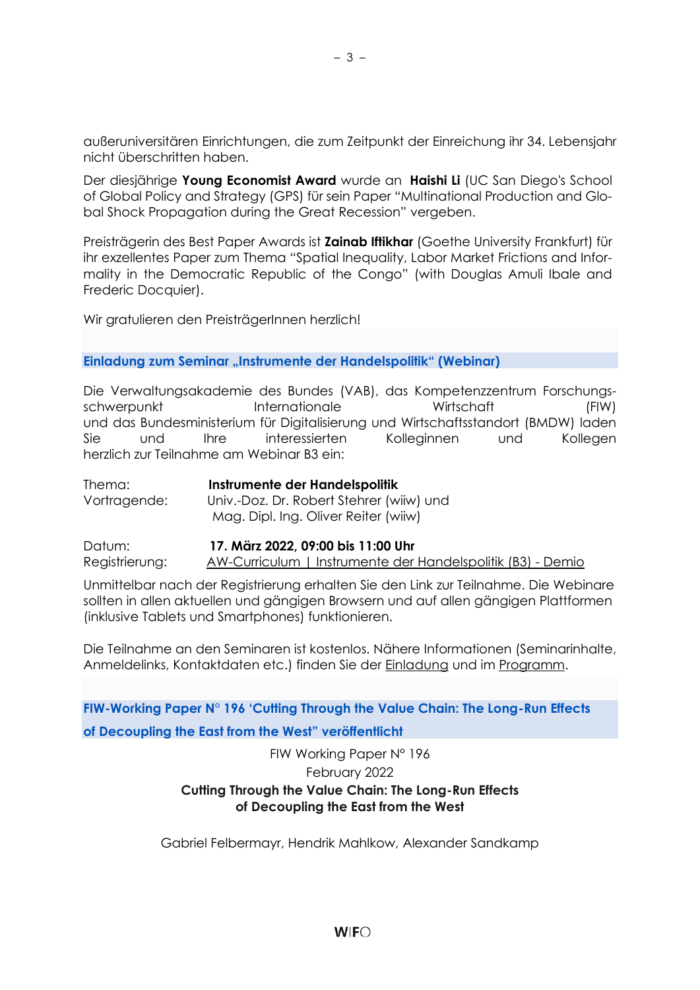außeruniversitären Einrichtungen, die zum Zeitpunkt der Einreichung ihr 34. Lebensjahr nicht überschritten haben.

Der diesjährige **Young Economist Award** wurde an **Haishi Li** (UC San Diego's School of Global Policy and Strategy (GPS) für sein Paper "Multinational Production and Global Shock Propagation during the Great Recession" vergeben.

Preisträgerin des Best Paper Awards ist **Zainab Iftikhar** (Goethe University Frankfurt) für ihr exzellentes Paper zum Thema "Spatial Inequality, Labor Market Frictions and Informality in the Democratic Republic of the Congo" (with Douglas Amuli Ibale and Frederic Docquier).

Wir gratulieren den PreisträgerInnen herzlich!

#### **Einladung zum Seminar "Instrumente der Handelspolitik" (Webinar)**

Die Verwaltungsakademie des Bundes (VAB), das Kompetenzzentrum Forschungsschwerpunkt Internationale Wirtschaft (FIW) und das Bundesministerium für Digitalisierung und Wirtschaftsstandort (BMDW) laden Sie und Ihre interessierten Kolleginnen und Kollegen herzlich zur Teilnahme am Webinar B3 ein:

Thema: **Instrumente der Handelspolitik** Vortragende: Univ.-Doz. Dr. Robert Stehrer (wiiw) und Mag. Dipl. Ing. Oliver Reiter (wiiw)

Datum: **17. März 2022, 09:00 bis 11:00 Uhr** Registrierung: [AW-Curriculum | Instrumente der Handelspolitik \(B3\) -](https://my.demio.com/ref/xRDlOWY2IcSGAoqg) Demio

Unmittelbar nach der Registrierung erhalten Sie den Link zur Teilnahme. Die Webinare sollten in allen aktuellen und gängigen Browsern und auf allen gängigen Plattformen (inklusive Tablets und Smartphones) funktionieren.

Die Teilnahme an den Seminaren ist kostenlos. Nähere Informationen (Seminarinhalte, Anmeldelinks, Kontaktdaten etc.) finden Sie der [Einladung](https://fiw.ac.at/fileadmin/Documents/Veranstaltungen/VAB/2021/Einladung_AW-Curriculum_21-22_Version_12_01_2022.pdf) und im [Programm.](https://fiw.ac.at/fileadmin/Documents/Veranstaltungen/VAB/2021/Programm_AW-Curriculum_21-22_Version_12_01_2022.pdf)

**FIW-Working Paper N° 196 'Cutting Through the Value Chain: The Long-Run Effects of Decoupling the East from the West" veröffentlicht**

## FIW Working Paper N° 196 February 2022 **Cutting Through the Value Chain: The Long-Run Effects of Decoupling the East from the West**

Gabriel Felbermayr, Hendrik Mahlkow, Alexander Sandkamp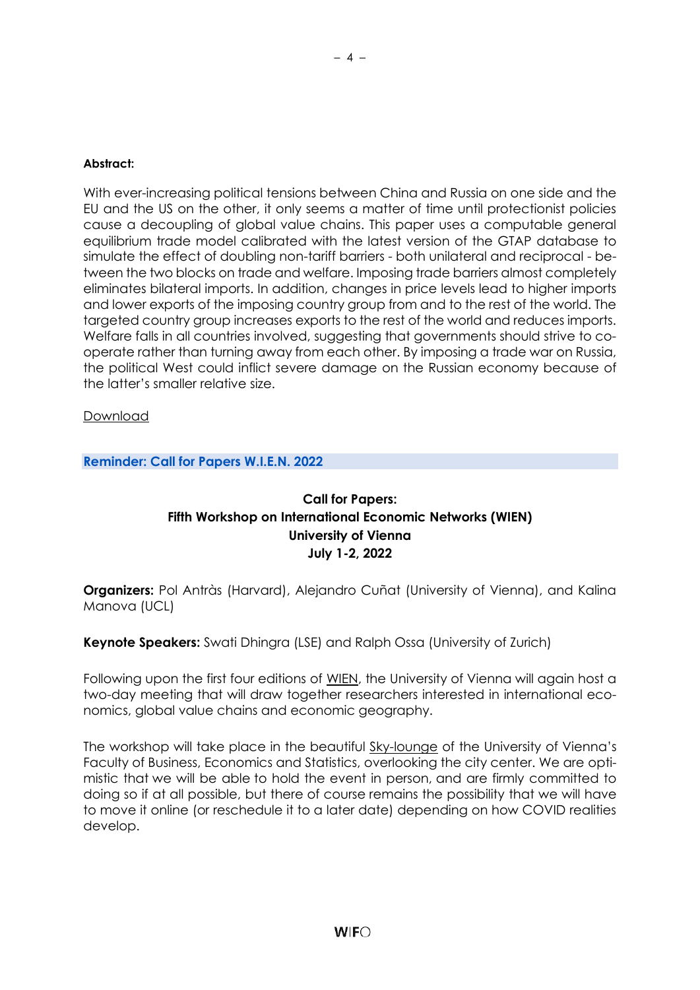#### **Abstract:**

With ever-increasing political tensions between China and Russia on one side and the EU and the US on the other, it only seems a matter of time until protectionist policies cause a decoupling of global value chains. This paper uses a computable general equilibrium trade model calibrated with the latest version of the GTAP database to simulate the effect of doubling non-tariff barriers - both unilateral and reciprocal - between the two blocks on trade and welfare. Imposing trade barriers almost completely eliminates bilateral imports. In addition, changes in price levels lead to higher imports and lower exports of the imposing country group from and to the rest of the world. The targeted country group increases exports to the rest of the world and reduces imports. Welfare falls in all countries involved, suggesting that governments should strive to cooperate rather than turning away from each other. By imposing a trade war on Russia, the political West could inflict severe damage on the Russian economy because of the latter's smaller relative size.

[Download](https://fiw.ac.at/fileadmin/Documents/Publikationen/Working_Paper/N_196_Felbermayr_Mahlkow_Sandkamp.pdf)

**Reminder: Call for Papers W.I.E.N. 2022**

## **Call for Papers: Fifth Workshop on International Economic Networks (WIEN) University of Vienna July 1-2, 2022**

**Organizers:** Pol Antràs (Harvard), Alejandro Cuñat (University of Vienna), and Kalina Manova (UCL)

**Keynote Speakers:** Swati Dhingra (LSE) and Ralph Ossa (University of Zurich)

Following upon the first four editions of [WIEN,](https://sites.google.com/site/alecunat/workshop-on-international-economic-networks-wien) the University of Vienna will again host a two-day meeting that will draw together researchers interested in international economics, global value chains and economic geography.

The workshop will take place in the beautiful [Sky-lounge](https://event.univie.ac.at/en/venue-management/venue-management/locations-floor-plans-and-photos/oskar-morgenstern-platz-1/top-floor/sky-lounge/) of the University of Vienna's Faculty of Business, Economics and Statistics, overlooking the city center. We are optimistic that we will be able to hold the event in person, and are firmly committed to doing so if at all possible, but there of course remains the possibility that we will have to move it online (or reschedule it to a later date) depending on how COVID realities develop.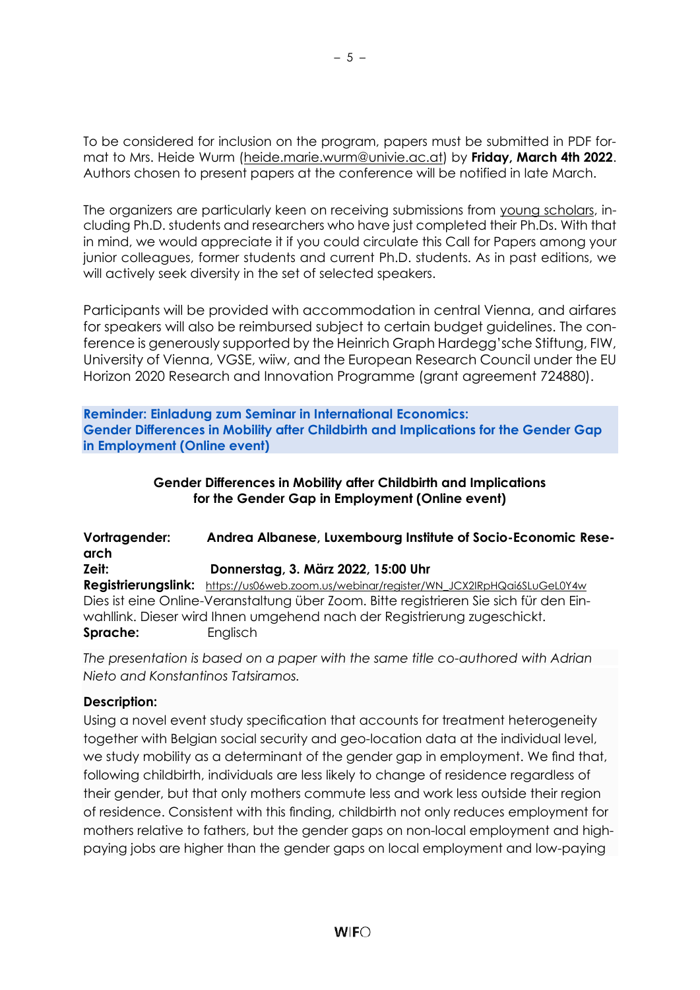To be considered for inclusion on the program, papers must be submitted in PDF format to Mrs. Heide Wurm [\(heide.marie.wurm@univie.ac.at\)](mailto:heide.marie.wurm@univie.ac.at) by **Friday, March 4th 2022**. Authors chosen to present papers at the conference will be notified in late March.

The organizers are particularly keen on receiving submissions from young scholars, including Ph.D. students and researchers who have just completed their Ph.Ds. With that in mind, we would appreciate it if you could circulate this Call for Papers among your junior colleagues, former students and current Ph.D. students. As in past editions, we will actively seek diversity in the set of selected speakers.

Participants will be provided with accommodation in central Vienna, and airfares for speakers will also be reimbursed subject to certain budget guidelines. The conference is generously supported by the Heinrich Graph Hardegg'sche Stiftung, FIW, University of Vienna, VGSE, wiiw, and the European Research Council under the EU Horizon 2020 Research and Innovation Programme (grant agreement 724880).

**Reminder: Einladung zum Seminar in International Economics: Gender Differences in Mobility after Childbirth and Implications for the Gender Gap in Employment (Online event)**

## **Gender Differences in Mobility after Childbirth and Implications for the Gender Gap in Employment (Online event)**

**Vortragender: Andrea Albanese, Luxembourg Institute of Socio-Economic Research Zeit: Donnerstag, 3. März 2022, 15:00 Uhr Registrierungslink:** [https://us06web.zoom.us/webinar/register/WN\\_JCX2IRpHQai6SLuGeL0Y4w](https://us06web.zoom.us/webinar/register/WN_JCX2IRpHQai6SLuGeL0Y4w) Dies ist eine Online-Veranstaltung über Zoom. Bitte registrieren Sie sich für den Einwahllink. Dieser wird Ihnen umgehend nach der Registrierung zugeschickt. **Sprache:** Englisch

*The presentation is based on a paper with the same title co-authored with Adrian Nieto and Konstantinos Tatsiramos.*

# **Description:**

Using a novel event study specification that accounts for treatment heterogeneity together with Belgian social security and geo-location data at the individual level, we study mobility as a determinant of the gender gap in employment. We find that, following childbirth, individuals are less likely to change of residence regardless of their gender, but that only mothers commute less and work less outside their region of residence. Consistent with this finding, childbirth not only reduces employment for mothers relative to fathers, but the gender gaps on non-local employment and highpaying jobs are higher than the gender gaps on local employment and low-paying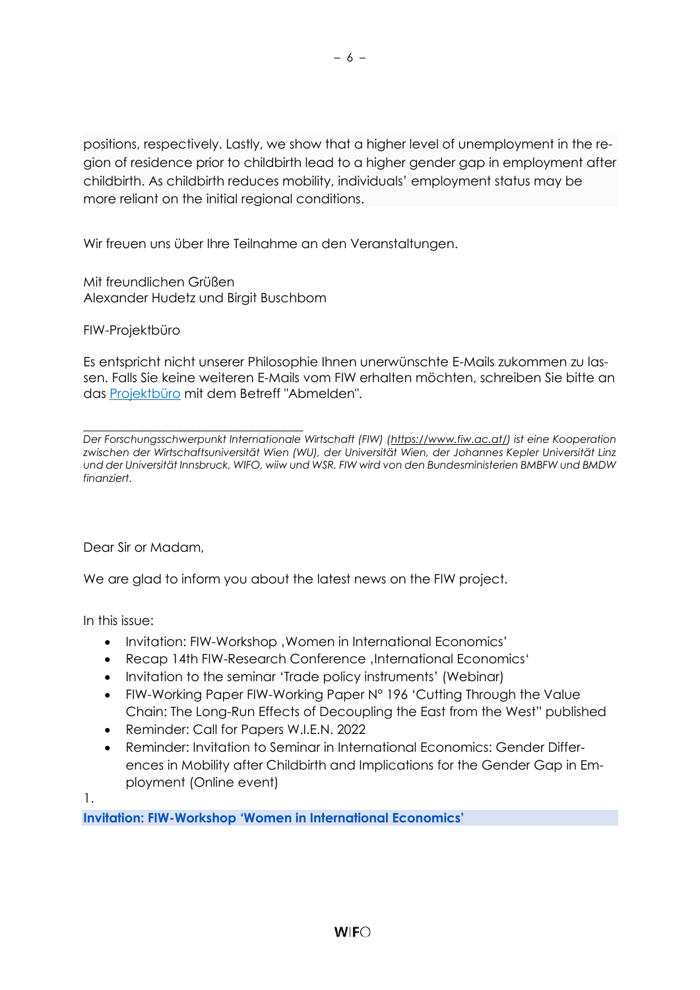positions, respectively. Lastly, we show that a higher level of unemployment in the region of residence prior to childbirth lead to a higher gender gap in employment after childbirth. As childbirth reduces mobility, individuals' employment status may be more reliant on the initial regional conditions.

Wir freuen uns über Ihre Teilnahme an den Veranstaltungen.

Mit freundlichen Grüßen Alexander Hudetz und Birgit Buschbom

FIW-Projektbüro

Es entspricht nicht unserer Philosophie Ihnen unerwünschte E-Mails zukommen zu lassen. Falls Sie keine weiteren E-Mails vom FIW erhalten möchten, schreiben Sie bitte an das [Projektbüro](mailto:fiw-pb@fiw.at) mit dem Betreff "Abmelden".

\_\_\_\_\_\_\_\_\_\_\_\_\_\_\_\_\_\_\_\_\_\_\_\_\_\_\_\_\_\_\_\_\_\_ *Der Forschungsschwerpunkt Internationale Wirtschaft (FIW) [\(https://www.fiw.ac.at/\)](https://www.fiw.ac.at/) ist eine Kooperation zwischen der Wirtschaftsuniversität Wien (WU), der Universität Wien, der Johannes Kepler Universität Linz und der Universität Innsbruck, WIFO, wiiw und WSR. FIW wird von den Bundesministerien BMBFW und BMDW finanziert.*

<span id="page-5-0"></span>Dear Sir or Madam,

We are glad to inform you about the latest news on the FIW project.

In this issue:

- Invitation: FIW-Workshop, Women in International Economics'
- Recap 14th FIW-Research Conference International Economics'
- Invitation to the seminar 'Trade policy instruments' (Webinar)
- FIW-Working Paper FIW-Working Paper N° 196 'Cutting Through the Value Chain: The Long-Run Effects of Decoupling the East from the West" published
- Reminder: Call for Papers W.I.E.N. 2022
- Reminder: Invitation to Seminar in International Economics: Gender Differences in Mobility after Childbirth and Implications for the Gender Gap in Employment (Online event)

1.

**Invitation: FIW-Workshop 'Women in International Economics'**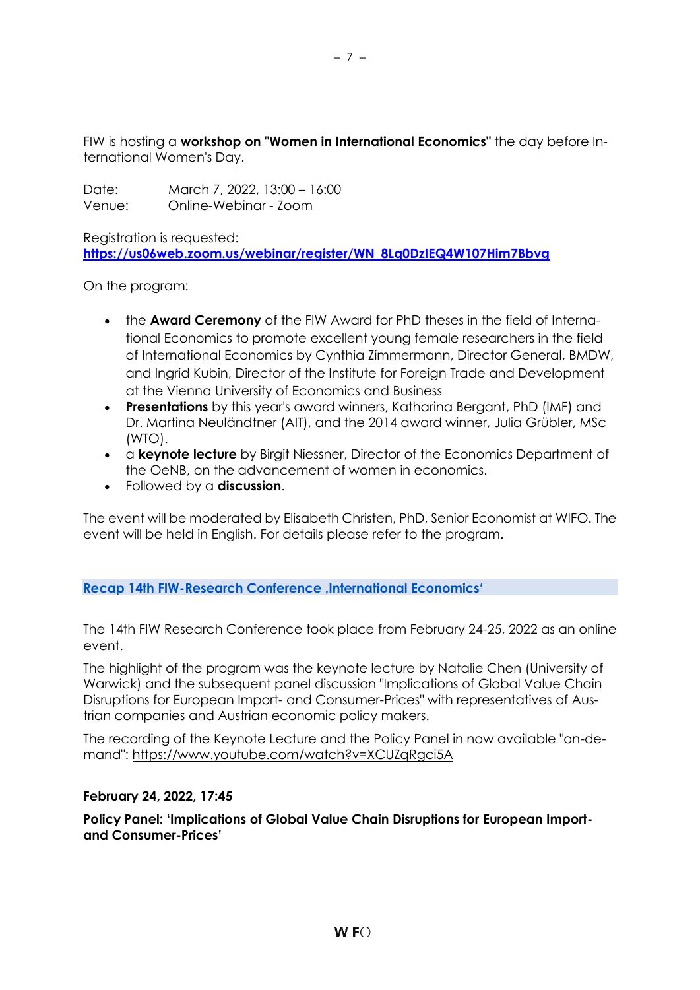FIW is hosting a **workshop on "Women in International Economics"** the day before International Women's Day.

Date: March 7, 2022, 13:00 – 16:00 Venue: Online-Webinar - Zoom

Registration is requested: **[https://us06web.zoom.us/webinar/register/WN\\_8Lq0DzIEQ4W107Him7Bbvg](https://us06web.zoom.us/webinar/register/WN_8Lq0DzIEQ4W107Him7Bbvg)**

On the program:

- the **Award Ceremony** of the FIW Award for PhD theses in the field of International Economics to promote excellent young female researchers in the field of International Economics by Cynthia Zimmermann, Director General, BMDW, and Ingrid Kubin, Director of the Institute for Foreign Trade and Development at the Vienna University of Economics and Business
- **Presentations** by this year's award winners, Katharina Bergant, PhD (IMF) and Dr. Martina Neuländtner (AIT), and the 2014 award winner, Julia Grübler, MSc (WTO).
- a **keynote lecture** by Birgit Niessner, Director of the Economics Department of the OeNB, on the advancement of women in economics.
- Followed by a **discussion**.

The event will be moderated by Elisabeth Christen, PhD, Senior Economist at WIFO. The event will be held in English. For details please refer to the [program.](https://fiw.ac.at/fileadmin/Documents/Veranstaltungen/2022_Workshops/FIW_Workshop_Women_in_International_Economics_prelim_program.pdf)

**Recap 14th FIW-Research Conference , International Economics'** 

The 14th FIW Research Conference took place from February 24-25, 2022 as an online event.

The highlight of the program was the keynote lecture by Natalie Chen (University of Warwick) and the subsequent panel discussion "Implications of Global Value Chain Disruptions for European Import- and Consumer-Prices" with representatives of Austrian companies and Austrian economic policy makers.

The recording of the Keynote Lecture and the Policy Panel in now available "on-demand":<https://www.youtube.com/watch?v=XCUZqRgci5A>

## **February 24, 2022, 17:45**

**Policy Panel: 'Implications of Global Value Chain Disruptions for European Importand Consumer-Prices'**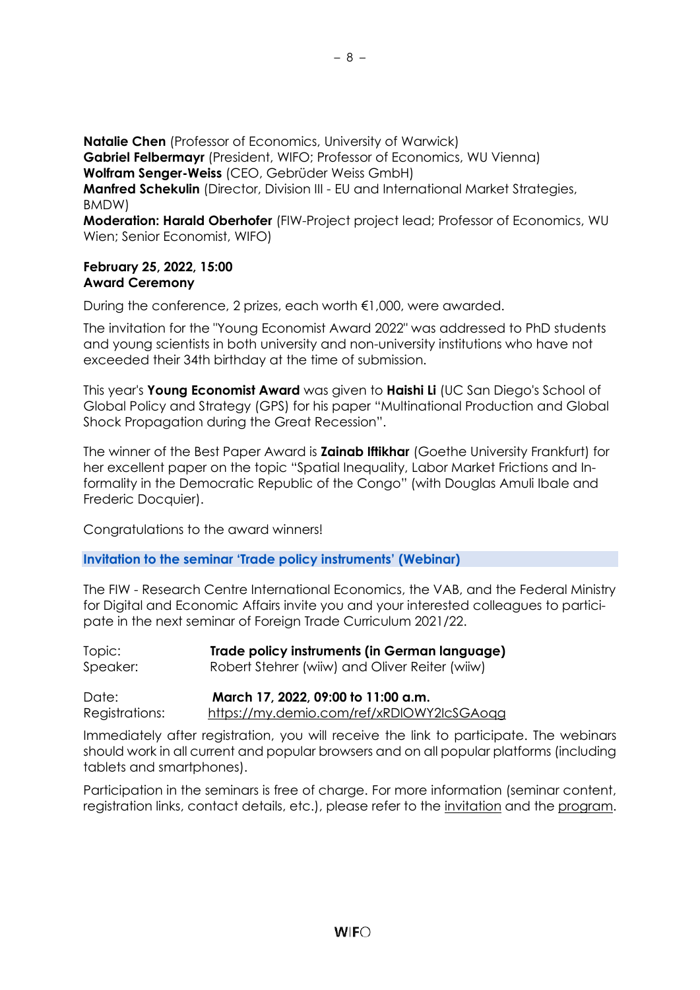**Natalie Chen** (Professor of Economics, University of Warwick)

**Gabriel Felbermayr** (President, WIFO; Professor of Economics, WU Vienna)

**Wolfram Senger-Weiss** (CEO, Gebrüder Weiss GmbH)

**Manfred Schekulin** (Director, Division III - EU and International Market Strategies, BMDW)

**Moderation: Harald Oberhofer** (FIW-Project project lead; Professor of Economics, WU Wien; Senior Economist, WIFO)

## **February 25, 2022, 15:00 Award Ceremony**

During the conference, 2 prizes, each worth €1,000, were awarded.

The invitation for the "Young Economist Award 2022" was addressed to PhD students and young scientists in both university and non-university institutions who have not exceeded their 34th birthday at the time of submission.

This year's **Young Economist Award** was given to **Haishi Li** (UC San Diego's School of Global Policy and Strategy (GPS) for his paper "Multinational Production and Global Shock Propagation during the Great Recession".

The winner of the Best Paper Award is **Zainab Iftikhar** (Goethe University Frankfurt) for her excellent paper on the topic "Spatial Inequality, Labor Market Frictions and Informality in the Democratic Republic of the Congo" (with Douglas Amuli Ibale and Frederic Docquier).

Congratulations to the award winners!

**Invitation to the seminar 'Trade policy instruments' (Webinar)**

The FIW - Research Centre International Economics, the VAB, and the Federal Ministry for Digital and Economic Affairs invite you and your interested colleagues to participate in the next seminar of Foreign Trade Curriculum 2021/22.

| Topic:   | Trade policy instruments (in German language)  |
|----------|------------------------------------------------|
| Speaker: | Robert Stehrer (wiiw) and Oliver Reiter (wiiw) |
|          |                                                |

Date: **March 17, 2022, 09:00 to 11:00 a.m.** Registrations: <https://my.demio.com/ref/xRDlOWY2IcSGAoqg>

Immediately after registration, you will receive the link to participate. The webinars should work in all current and popular browsers and on all popular platforms (including tablets and smartphones).

Participation in the seminars is free of charge. For more information (seminar content, registration links, contact details, etc.), please refer to the [invitation](https://fiw.ac.at/fileadmin/Documents/Veranstaltungen/VAB/2021/Einladung_AW-Curriculum_21-22_Version_12_01_2022.pdf) and the [program.](https://fiw.ac.at/fileadmin/Documents/Veranstaltungen/VAB/2021/Programm_AW-Curriculum_21-22_Version_12_01_2022.pdf)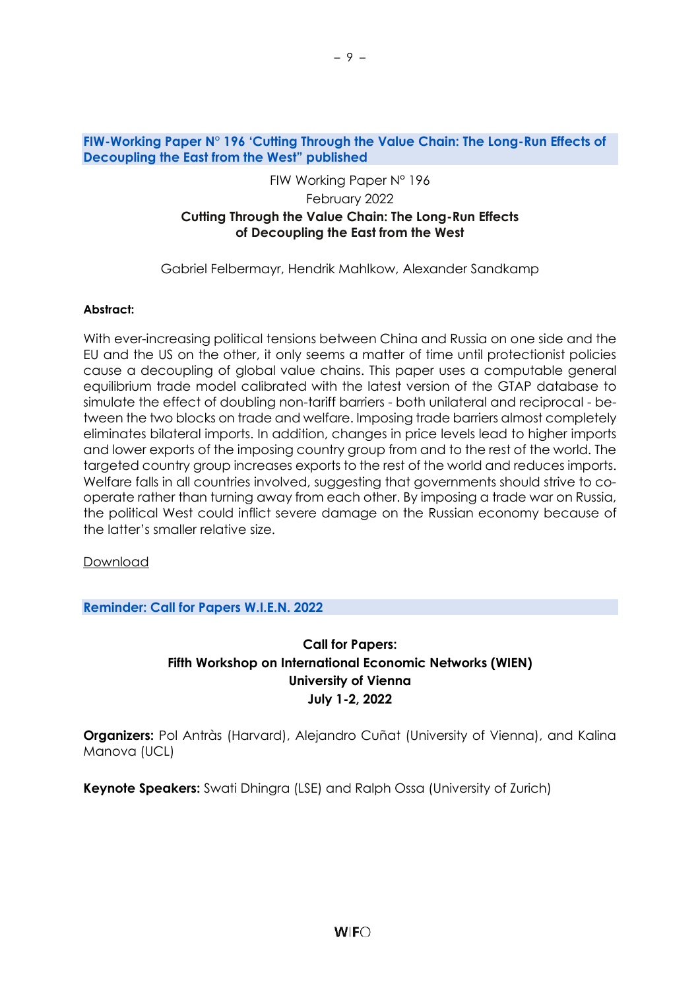### **FIW-Working Paper N° 196 'Cutting Through the Value Chain: The Long-Run Effects of Decoupling the East from the West" published**

## FIW Working Paper N° 196 February 2022 **Cutting Through the Value Chain: The Long-Run Effects of Decoupling the East from the West**

Gabriel Felbermayr, Hendrik Mahlkow, Alexander Sandkamp

#### **Abstract:**

With ever-increasing political tensions between China and Russia on one side and the EU and the US on the other, it only seems a matter of time until protectionist policies cause a decoupling of global value chains. This paper uses a computable general equilibrium trade model calibrated with the latest version of the GTAP database to simulate the effect of doubling non-tariff barriers - both unilateral and reciprocal - between the two blocks on trade and welfare. Imposing trade barriers almost completely eliminates bilateral imports. In addition, changes in price levels lead to higher imports and lower exports of the imposing country group from and to the rest of the world. The targeted country group increases exports to the rest of the world and reduces imports. Welfare falls in all countries involved, suggesting that governments should strive to cooperate rather than turning away from each other. By imposing a trade war on Russia, the political West could inflict severe damage on the Russian economy because of the latter's smaller relative size.

#### [Download](https://fiw.ac.at/fileadmin/Documents/Publikationen/Working_Paper/N_196_Felbermayr_Mahlkow_Sandkamp.pdf)

**Reminder: Call for Papers W.I.E.N. 2022**

# **Call for Papers: Fifth Workshop on International Economic Networks (WIEN) University of Vienna July 1-2, 2022**

**Organizers:** Pol Antràs (Harvard), Alejandro Cuñat (University of Vienna), and Kalina Manova (UCL)

**Keynote Speakers:** Swati Dhingra (LSE) and Ralph Ossa (University of Zurich)

– 9 –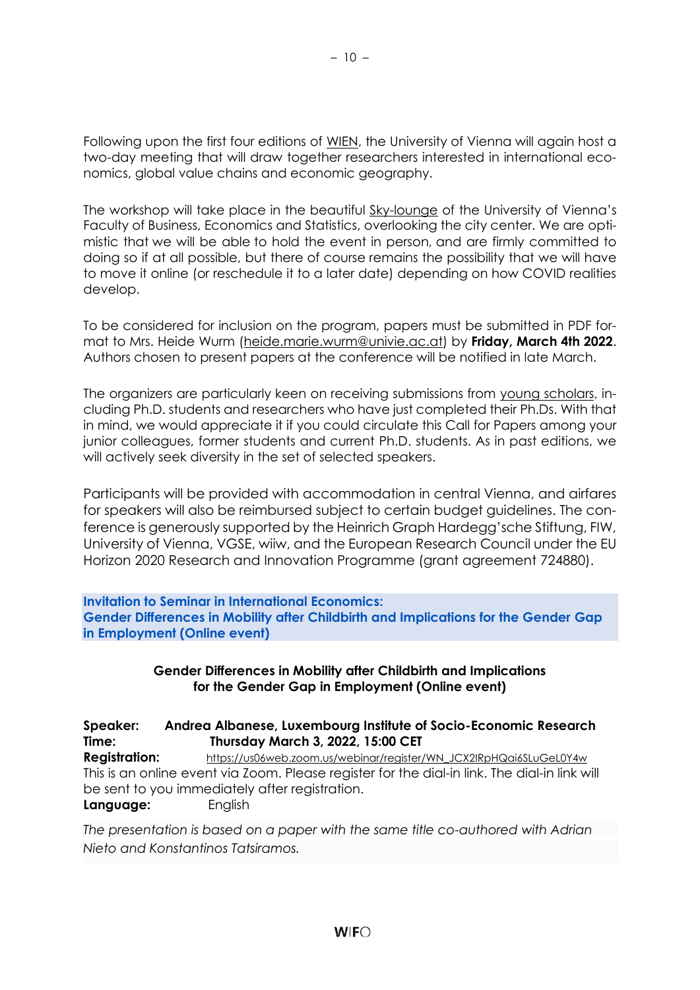Following upon the first four editions of [WIEN,](https://sites.google.com/site/alecunat/workshop-on-international-economic-networks-wien) the University of Vienna will again host a two-day meeting that will draw together researchers interested in international economics, global value chains and economic geography.

– 10 –

The workshop will take place in the beautiful [Sky-lounge](https://event.univie.ac.at/en/venue-management/venue-management/locations-floor-plans-and-photos/oskar-morgenstern-platz-1/top-floor/sky-lounge/) of the University of Vienna's Faculty of Business, Economics and Statistics, overlooking the city center. We are optimistic that we will be able to hold the event in person, and are firmly committed to doing so if at all possible, but there of course remains the possibility that we will have to move it online (or reschedule it to a later date) depending on how COVID realities develop.

To be considered for inclusion on the program, papers must be submitted in PDF format to Mrs. Heide Wurm [\(heide.marie.wurm@univie.ac.at\)](mailto:heide.marie.wurm@univie.ac.at) by **Friday, March 4th 2022**. Authors chosen to present papers at the conference will be notified in late March.

The organizers are particularly keen on receiving submissions from young scholars, including Ph.D. students and researchers who have just completed their Ph.Ds. With that in mind, we would appreciate it if you could circulate this Call for Papers among your junior colleagues, former students and current Ph.D. students. As in past editions, we will actively seek diversity in the set of selected speakers.

Participants will be provided with accommodation in central Vienna, and airfares for speakers will also be reimbursed subject to certain budget guidelines. The conference is generously supported by the Heinrich Graph Hardegg'sche Stiftung, FIW, University of Vienna, VGSE, wiiw, and the European Research Council under the EU Horizon 2020 Research and Innovation Programme (grant agreement 724880).

#### **Invitation to Seminar in International Economics: Gender Differences in Mobility after Childbirth and Implications for the Gender Gap in Employment (Online event)**

## **Gender Differences in Mobility after Childbirth and Implications for the Gender Gap in Employment (Online event)**

## **Speaker: Andrea Albanese, Luxembourg Institute of Socio-Economic Research Time: Thursday March 3, 2022, 15:00 CET**

**Registration:** [https://us06web.zoom.us/webinar/register/WN\\_JCX2IRpHQai6SLuGeL0Y4w](https://us06web.zoom.us/webinar/register/WN_JCX2IRpHQai6SLuGeL0Y4w) This is an online event via Zoom. Please register for the dial-in link. The dial-in link will be sent to you immediately after registration.

**Language:** English

*The presentation is based on a paper with the same title co-authored with Adrian Nieto and Konstantinos Tatsiramos.*